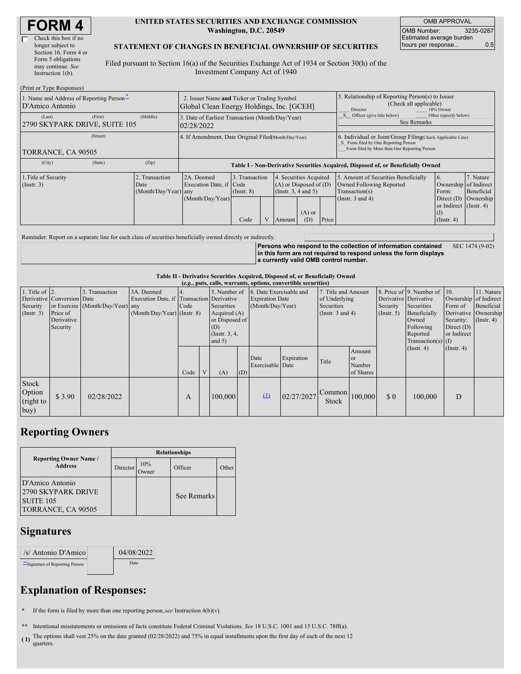| <b>FORM4</b> |  |
|--------------|--|
|--------------|--|

(Print or Type Responses)

#### **UNITED STATES SECURITIES AND EXCHANGE COMMISSION Washington, D.C. 20549**

OMB APPROVAL OMB Number: 3235-0287 Estimated average burden hours per response... 6.5

### **STATEMENT OF CHANGES IN BENEFICIAL OWNERSHIP OF SECURITIES**

Filed pursuant to Section 16(a) of the Securities Exchange Act of 1934 or Section 30(h) of the Investment Company Act of 1940

| $(1 \text{ min of } 1 \text{ ypc respectively})$<br>1. Name and Address of Reporting Person-<br>D'Amico Antonio | 2. Issuer Name and Ticker or Trading Symbol<br>Global Clean Energy Holdings, Inc. [GCEH] |                                                                                  |                                           |  |                                                                                        |                 | 5. Relationship of Reporting Person(s) to Issuer<br>(Check all applicable)<br>Director<br>10% Owner                                                |                                                                                                             |                                                                                                                      |                                      |
|-----------------------------------------------------------------------------------------------------------------|------------------------------------------------------------------------------------------|----------------------------------------------------------------------------------|-------------------------------------------|--|----------------------------------------------------------------------------------------|-----------------|----------------------------------------------------------------------------------------------------------------------------------------------------|-------------------------------------------------------------------------------------------------------------|----------------------------------------------------------------------------------------------------------------------|--------------------------------------|
| (First)<br>(Last)<br>2790 SKYPARK DRIVE, SUITE 105                                                              | (Middle)                                                                                 | 3. Date of Earliest Transaction (Month/Day/Year)<br>02/28/2022                   |                                           |  |                                                                                        |                 |                                                                                                                                                    | Other (specify below)<br>Officer (give title below)<br>See Remarks                                          |                                                                                                                      |                                      |
| (Street)<br>TORRANCE, CA 90505                                                                                  |                                                                                          | 4. If Amendment, Date Original Filed Month/Day/Year)                             |                                           |  |                                                                                        |                 | 6. Individual or Joint/Group Filing(Check Applicable Line)<br>X Form filed by One Reporting Person<br>Form filed by More than One Reporting Person |                                                                                                             |                                                                                                                      |                                      |
| (State)<br>(City)                                                                                               | (Zip)                                                                                    | Table I - Non-Derivative Securities Acquired, Disposed of, or Beneficially Owned |                                           |  |                                                                                        |                 |                                                                                                                                                    |                                                                                                             |                                                                                                                      |                                      |
| 1. Title of Security<br>(Insert. 3)                                                                             | 2. Transaction<br>Date<br>(Month/Day/Year) any                                           | 2A. Deemed<br>Execution Date, if Code<br>(Month/Day/Year)                        | 3. Transaction<br>$($ Instr. $8)$<br>Code |  | 4. Securities Acquired<br>$(A)$ or Disposed of $(D)$<br>(Insert. 3, 4 and 5)<br>Amount | $(A)$ or<br>(D) | Price                                                                                                                                              | 5. Amount of Securities Beneficially<br>Owned Following Reported<br>Transaction(s)<br>(Instr. $3$ and $4$ ) | <sup>6.</sup><br>Ownership of Indirect<br>Form:<br>Direct $(D)$<br>or Indirect (Instr. 4)<br>(I)<br>$($ Instr. 4 $)$ | 7. Nature<br>Beneficial<br>Ownership |

Reminder: Report on a separate line for each class of securities beneficially owned directly or indirectly.

**Persons who respond to the collection of information contained in this form are not required to respond unless the form displays a currently valid OMB control number.** SEC 1474 (9-02)

**Table II - Derivative Securities Acquired, Disposed of, or Beneficially Owned**

| (e.g., puts, calls, warrants, options, convertible securities) |                            |                                  |                                           |      |                 |                |     |                                      |            |                       |               |                       |                               |                       |                      |
|----------------------------------------------------------------|----------------------------|----------------------------------|-------------------------------------------|------|-----------------|----------------|-----|--------------------------------------|------------|-----------------------|---------------|-----------------------|-------------------------------|-----------------------|----------------------|
| 1. Title of $\vert$ 2.                                         |                            | 3. Transaction                   | 3A. Deemed                                |      |                 |                |     | 5. Number of 6. Date Exercisable and |            | 7. Title and Amount   |               |                       | 8. Price of 9. Number of 10.  |                       | 11. Nature           |
|                                                                | Derivative Conversion Date |                                  | Execution Date, if Transaction Derivative |      |                 |                |     | <b>Expiration Date</b>               |            | of Underlying         |               | Derivative Derivative |                               | Ownership of Indirect |                      |
| Security                                                       |                            | or Exercise (Month/Day/Year) any |                                           | Code |                 | Securities     |     | (Month/Day/Year)                     |            | Securities            |               | Security              | Securities                    | Form of               | Beneficial           |
| (Insert. 3)                                                    | Price of                   |                                  | $(Month/Day/Year)$ (Instr. 8)             |      |                 | Acquired $(A)$ |     |                                      |            | (Instr. $3$ and $4$ ) |               | $($ Instr. 5 $)$      | Beneficially                  |                       | Derivative Ownership |
|                                                                | Derivative                 |                                  |                                           |      |                 | or Disposed of |     |                                      |            |                       |               | Owned                 | Security: $(\text{Instr. 4})$ |                       |                      |
|                                                                | Security                   |                                  |                                           |      | (D)             |                |     |                                      |            |                       |               | Following             | Direct $(D)$                  |                       |                      |
|                                                                |                            |                                  |                                           |      | (Instr. $3, 4,$ |                |     |                                      |            |                       |               | Reported              | or Indirect                   |                       |                      |
|                                                                |                            |                                  |                                           |      |                 | and $5)$       |     |                                      |            |                       |               |                       | $Transaction(s)$ (I)          |                       |                      |
|                                                                |                            |                                  |                                           |      |                 |                |     |                                      |            |                       | Amount        |                       | $($ Instr. 4 $)$              | $($ Instr. 4 $)$      |                      |
|                                                                |                            |                                  |                                           |      |                 |                |     | Date                                 | Expiration | Title                 | <sub>or</sub> |                       |                               |                       |                      |
|                                                                |                            |                                  |                                           |      |                 |                |     | Exercisable Date                     |            |                       | Number        |                       |                               |                       |                      |
|                                                                |                            |                                  |                                           | Code | V               | (A)            | (D) |                                      |            |                       | of Shares     |                       |                               |                       |                      |
| Stock<br>Option<br>(right to<br>buy)                           | \$3.90                     | 02/28/2022                       |                                           | A    |                 | 100,000        |     | $\Omega$                             | 02/27/2027 | Common<br>Stock       | 100,000       | $\Omega$              | 100,000                       | D                     |                      |

## **Reporting Owners**

|                                                                                 | <b>Relationships</b> |                     |             |       |  |  |  |  |  |
|---------------------------------------------------------------------------------|----------------------|---------------------|-------------|-------|--|--|--|--|--|
| <b>Reporting Owner Name /</b><br><b>Address</b>                                 | Director             | 10%<br><b>Twner</b> | Officer     | Other |  |  |  |  |  |
| D'Amico Antonio<br>2790 SKYPARK DRIVE<br><b>SUITE 105</b><br>TORRANCE, CA 90505 |                      |                     | See Remarks |       |  |  |  |  |  |

### **Signatures**

| /s/ Antonio D'Amico           | 04/08/2022 |  |
|-------------------------------|------------|--|
| Signature of Reporting Person | Date       |  |

# **Explanation of Responses:**

**\*** If the form is filed by more than one reporting person,*see* Instruction 4(b)(v).

**\*\*** Intentional misstatements or omissions of facts constitute Federal Criminal Violations. *See* 18 U.S.C. 1001 and 15 U.S.C. 78ff(a).

**(1)** The options shall vest 25% on the date granted (02/28/2022) and 75% in equal installments upon the first day of each of the next 12 quarters.